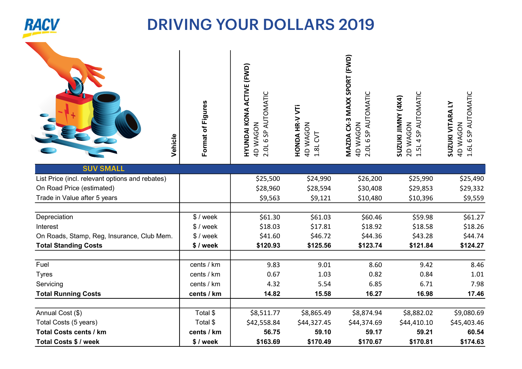

| Vehicle                                         | Format of Figures | HYUNDAI KONA ACTIVE (FWD)<br>2.0L 6 SP AUTOMATIC<br>4D WAGON | HONDA HR-V VTi<br><b>AD WAGON</b><br>5 <sup>1</sup><br>1.8L | MAZDA CX-3 MAXX SPORT (FWD)<br>2.0L 6 SP AUTOMATIC<br><b>4D WAGON</b> | 1.5L 4 SP AUTOMATIC<br><b>(4X4) ANNII INNISOS</b><br>2D WAGON | 1.6L 6 SP AUTOMATIC<br>SUZUKI VITARA LY<br>4D WAGON |
|-------------------------------------------------|-------------------|--------------------------------------------------------------|-------------------------------------------------------------|-----------------------------------------------------------------------|---------------------------------------------------------------|-----------------------------------------------------|
| <b>SUV SMALL</b>                                |                   |                                                              |                                                             |                                                                       |                                                               |                                                     |
| List Price (incl. relevant options and rebates) |                   | \$25,500                                                     | \$24,990                                                    | \$26,200                                                              | \$25,990                                                      | \$25,490                                            |
| On Road Price (estimated)                       |                   | \$28,960                                                     | \$28,594                                                    | \$30,408                                                              | \$29,853                                                      | \$29,332                                            |
| Trade in Value after 5 years                    |                   | \$9,563                                                      | \$9,121                                                     | \$10,480                                                              | \$10,396                                                      | \$9,559                                             |
| Depreciation                                    | $$$ / week        | \$61.30                                                      | \$61.03                                                     | \$60.46                                                               | \$59.98                                                       | \$61.27                                             |
| Interest                                        | $$$ / week        | \$18.03                                                      | \$17.81                                                     | \$18.92                                                               | \$18.58                                                       | \$18.26                                             |
| On Roads, Stamp, Reg, Insurance, Club Mem.      | $$$ / week        | \$41.60                                                      | \$46.72                                                     | \$44.36                                                               | \$43.28                                                       | \$44.74                                             |
| <b>Total Standing Costs</b>                     | \$/week           | \$120.93                                                     | \$125.56                                                    | \$123.74                                                              | \$121.84                                                      | \$124.27                                            |
| Fuel                                            | cents / km        | 9.83                                                         | 9.01                                                        | 8.60                                                                  | 9.42                                                          | 8.46                                                |
| <b>Tyres</b>                                    | cents / km        | 0.67                                                         | 1.03                                                        | 0.82                                                                  | 0.84                                                          | 1.01                                                |
| Servicing                                       | cents / km        | 4.32                                                         | 5.54                                                        | 6.85                                                                  | 6.71                                                          | 7.98                                                |
| <b>Total Running Costs</b>                      | cents / km        | 14.82                                                        | 15.58                                                       | 16.27                                                                 | 16.98                                                         | 17.46                                               |
| Annual Cost (\$)                                | Total \$          | \$8,511.77                                                   | \$8,865.49                                                  | \$8,874.94                                                            | \$8,882.02                                                    | \$9,080.69                                          |
| Total Costs (5 years)                           | Total \$          | \$42,558.84                                                  | \$44,327.45                                                 | \$44,374.69                                                           | \$44,410.10                                                   | \$45,403.46                                         |
| <b>Total Costs cents / km</b>                   | cents / km        | 56.75                                                        | 59.10                                                       | 59.17                                                                 | 59.21                                                         | 60.54                                               |
| <b>Total Costs \$ / week</b>                    | \$/week           | \$163.69                                                     | \$170.49                                                    | \$170.67                                                              | \$170.81                                                      | \$174.63                                            |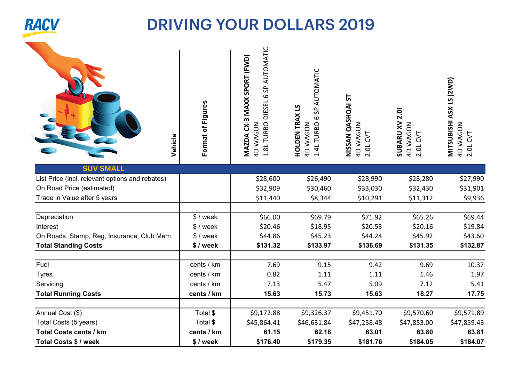

| Vehicle                                                             | Format of Figures | 1.8L TURBO DIESEL 6 SP AUTOMATIC<br>MAZDA CX-3 MAXX SPORT (FWD)<br>4D WAGON | SP AUTOMATIC<br><b>HOLDEN TRAX LS</b><br>9<br>1.4L TURBO<br><b>4D WAGON</b> | NISSAN QASHQAI ST<br><b>4D WAGON</b><br>2.0L CVT | 2.0i<br><b>SUBARU XV</b><br>4D WAGON<br>2.0L CVT | MITSUBISHI ASX LS (2WD)<br>4D WAGON<br>2.0L CVT |
|---------------------------------------------------------------------|-------------------|-----------------------------------------------------------------------------|-----------------------------------------------------------------------------|--------------------------------------------------|--------------------------------------------------|-------------------------------------------------|
| <b>SUV SMALL</b><br>List Price (incl. relevant options and rebates) |                   | \$28,600                                                                    | \$26,490                                                                    | \$28,990                                         | \$28,280                                         | \$27,990                                        |
| On Road Price (estimated)                                           |                   | \$32,909                                                                    | \$30,460                                                                    | \$33,030                                         | \$32,430                                         | \$31,901                                        |
| Trade in Value after 5 years                                        |                   | \$11,440                                                                    | \$8,344                                                                     | \$10,291                                         | \$11,312                                         | \$9,936                                         |
| Depreciation                                                        | $$$ / week        | \$66.00                                                                     | \$69.79                                                                     | \$71.92                                          | \$65.26                                          | \$69.44                                         |
| Interest                                                            | $$$ / week        | \$20.46                                                                     | \$18.95                                                                     | \$20.53                                          | \$20.16                                          | \$19.84                                         |
| On Roads, Stamp, Reg, Insurance, Club Mem.                          | $$$ / week        | \$44.86                                                                     | \$45.23                                                                     | \$44.24                                          | \$45.92                                          | \$43.60                                         |
| <b>Total Standing Costs</b>                                         | \$/week           | \$131.32                                                                    | \$133.97                                                                    | \$136.69                                         | \$131.35                                         | \$132.87                                        |
| Fuel                                                                | cents / km        | 7.69                                                                        | 9.15                                                                        | 9.42                                             | 9.69                                             | 10.37                                           |
| <b>Tyres</b>                                                        | cents / km        | 0.82                                                                        | 1.11                                                                        | 1.11                                             | 1.46                                             | 1.97                                            |
| Servicing                                                           | cents / km        | 7.13                                                                        | 5.47                                                                        | 5.09                                             | 7.12                                             | 5.41                                            |
| <b>Total Running Costs</b>                                          | cents / km        | 15.63                                                                       | 15.73                                                                       | 15.63                                            | 18.27                                            | 17.75                                           |
| Annual Cost (\$)                                                    | Total \$          | \$9,172.88                                                                  | \$9,326.37                                                                  | \$9,451.70                                       | \$9,570.60                                       | \$9,571.89                                      |
| Total Costs (5 years)                                               | Total \$          | \$45,864.41                                                                 | \$46,631.84                                                                 | \$47,258.48                                      | \$47,853.00                                      | \$47,859.43                                     |
| <b>Total Costs cents / km</b>                                       | cents / km        | 61.15                                                                       | 62.18                                                                       | 63.01                                            | 63.80                                            | 63.81                                           |

Total Costs \$ / week | \$ / week | \$176.40 \$179.35 \$181.76 \$184.05 \$184.07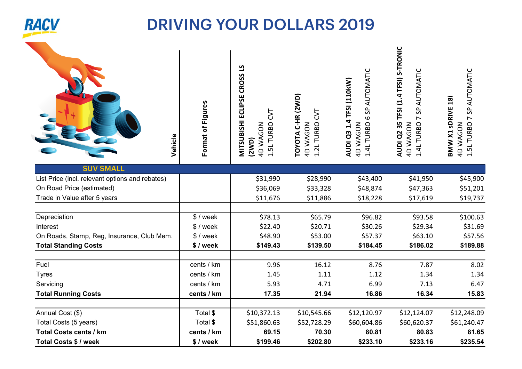

| Format of Figures | <b>MITSUBISHI ECLIPSE CROSS LS</b><br>50<br>1.5L TURBO<br>4D WAGON<br>(2WD) | C-HR (2WD)<br>5<br>1.2L TURBO<br>4D WAGON<br>TOYOTA | SP AUTOMATIC<br>AUDI Q3 1.4 TFSI (110kW)<br>$\mathbf{Q}$<br>1.4L TURBO<br>4D WAGON | TFSI (1.4 TFSI) S-TRONIC<br>AUTOMATIC<br>S <sub>0</sub><br>$\sim$<br><b>AUDI Q2 35</b><br>1.4L TURBO<br>4D WAGON | SP AUTOMATIC<br>BMW X1 sDRIVE 18i<br>$\overline{ }$<br>4D WAGON<br>1.5L TURBO |
|-------------------|-----------------------------------------------------------------------------|-----------------------------------------------------|------------------------------------------------------------------------------------|------------------------------------------------------------------------------------------------------------------|-------------------------------------------------------------------------------|
|                   |                                                                             |                                                     |                                                                                    |                                                                                                                  | \$45,900                                                                      |
|                   |                                                                             |                                                     |                                                                                    |                                                                                                                  | \$51,201                                                                      |
|                   | \$11,676                                                                    | \$11,886                                            | \$18,228                                                                           | \$17,619                                                                                                         | \$19,737                                                                      |
| \$ / week         | \$78.13                                                                     | \$65.79                                             | \$96.82                                                                            | \$93.58                                                                                                          | \$100.63                                                                      |
| $$$ / week        | \$22.40                                                                     | \$20.71                                             | \$30.26                                                                            | \$29.34                                                                                                          | \$31.69                                                                       |
| \$ / week         | \$48.90                                                                     | \$53.00                                             | \$57.37                                                                            | \$63.10                                                                                                          | \$57.56                                                                       |
| \$/week           | \$149.43                                                                    | \$139.50                                            | \$184.45                                                                           | \$186.02                                                                                                         | \$189.88                                                                      |
| cents / km        | 9.96                                                                        | 16.12                                               | 8.76                                                                               | 7.87                                                                                                             | 8.02                                                                          |
| cents / km        | 1.45                                                                        | 1.11                                                | 1.12                                                                               | 1.34                                                                                                             | 1.34                                                                          |
| cents / km        | 5.93                                                                        | 4.71                                                | 6.99                                                                               | 7.13                                                                                                             | 6.47                                                                          |
| Vehicle           |                                                                             | \$31,990<br>\$36,069                                | \$28,990<br>\$33,328                                                               | \$43,400<br>\$48,874                                                                                             | \$41,950<br>\$47,363                                                          |

| ________                   |            |             | .           | ----        | .           | .           |
|----------------------------|------------|-------------|-------------|-------------|-------------|-------------|
| <b>Total Running Costs</b> | cents / km | 17.35       | 21.94       | 16.86       | 16.34       | 15.83       |
|                            |            |             |             |             |             |             |
| Annual Cost (\$)           | Total \$   | \$10,372.13 | \$10,545.66 | \$12,120.97 | \$12,124.07 | \$12,248.09 |
| Total Costs (5 years)      | Total \$   | \$51,860.63 | \$52,728.29 | \$60,604.86 | \$60,620.37 | \$61,240.47 |
| Total Costs cents / km     | cents / km | 69.15       | 70.30       | 80.81       | 80.83       | 81.65       |
| Total Costs \$ / week      | \$/week    | \$199.46    | \$202.80    | \$233.10    | \$233.16    | \$235.54    |